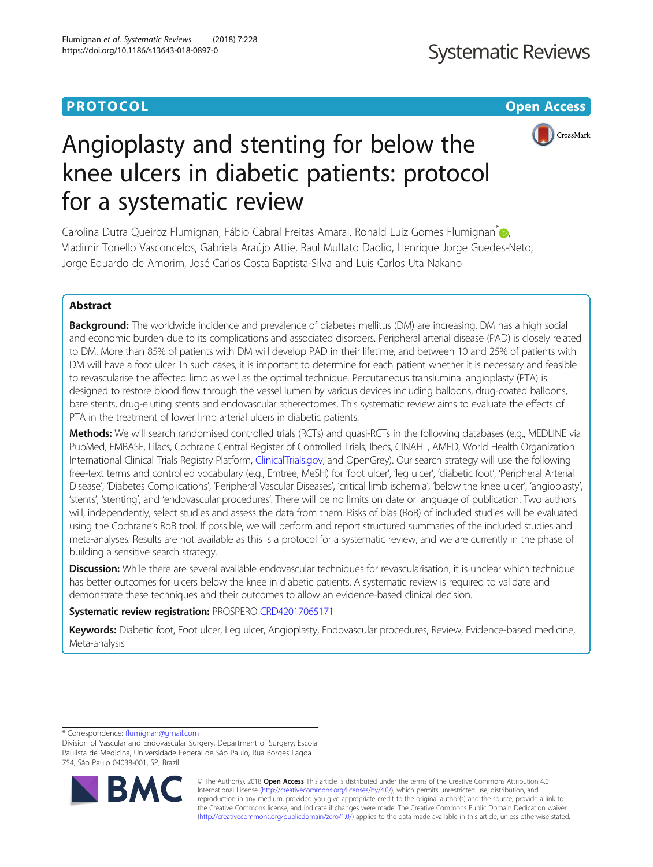# **PROTOCOL CONSUMING THE OPEN ACCESS**



# Angioplasty and stenting for below the knee ulcers in diabetic patients: protocol for a systematic review

Carolina Dutra Queiroz Flumignan, Fábio Cabral Freitas Amaral, Ronald Luiz Gomes Flumignan<sup>[\\*](http://orcid.org/0000-0001-6440-8011)</sup> <sub>(D</sub>, Vladimir Tonello Vasconcelos, Gabriela Araújo Attie, Raul Muffato Daolio, Henrique Jorge Guedes-Neto, Jorge Eduardo de Amorim, José Carlos Costa Baptista-Silva and Luis Carlos Uta Nakano

# Abstract

**Background:** The worldwide incidence and prevalence of diabetes mellitus (DM) are increasing. DM has a high social and economic burden due to its complications and associated disorders. Peripheral arterial disease (PAD) is closely related to DM. More than 85% of patients with DM will develop PAD in their lifetime, and between 10 and 25% of patients with DM will have a foot ulcer. In such cases, it is important to determine for each patient whether it is necessary and feasible to revascularise the affected limb as well as the optimal technique. Percutaneous transluminal angioplasty (PTA) is designed to restore blood flow through the vessel lumen by various devices including balloons, drug-coated balloons, bare stents, drug-eluting stents and endovascular atherectomes. This systematic review aims to evaluate the effects of PTA in the treatment of lower limb arterial ulcers in diabetic patients.

Methods: We will search randomised controlled trials (RCTs) and quasi-RCTs in the following databases (e.g., MEDLINE via PubMed, EMBASE, Lilacs, Cochrane Central Register of Controlled Trials, Ibecs, CINAHL, AMED, World Health Organization International Clinical Trials Registry Platform, [ClinicalTrials.gov,](https://www.clinicaltrials.gov/) and OpenGrey). Our search strategy will use the following free-text terms and controlled vocabulary (e.g., Emtree, MeSH) for 'foot ulcer', 'leg ulcer', 'diabetic foot', 'Peripheral Arterial Disease', 'Diabetes Complications', 'Peripheral Vascular Diseases', 'critical limb ischemia', 'below the knee ulcer', 'angioplasty', 'stents', 'stenting', and 'endovascular procedures'. There will be no limits on date or language of publication. Two authors will, independently, select studies and assess the data from them. Risks of bias (RoB) of included studies will be evaluated using the Cochrane's RoB tool. If possible, we will perform and report structured summaries of the included studies and meta-analyses. Results are not available as this is a protocol for a systematic review, and we are currently in the phase of building a sensitive search strategy.

Discussion: While there are several available endovascular techniques for revascularisation, it is unclear which technique has better outcomes for ulcers below the knee in diabetic patients. A systematic review is required to validate and demonstrate these techniques and their outcomes to allow an evidence-based clinical decision.

# Systematic review registration: PROSPERO [CRD42017065171](http://www.crd.york.ac.uk/PROSPERO/display_record.php?ID=CRD42017065171)

Keywords: Diabetic foot, Foot ulcer, Leg ulcer, Angioplasty, Endovascular procedures, Review, Evidence-based medicine, Meta-analysis

\* Correspondence: [flumignan@gmail.com](mailto:flumignan@gmail.com)

Division of Vascular and Endovascular Surgery, Department of Surgery, Escola Paulista de Medicina, Universidade Federal de São Paulo, Rua Borges Lagoa 754, São Paulo 04038-001, SP, Brazil



© The Author(s). 2018 Open Access This article is distributed under the terms of the Creative Commons Attribution 4.0 International License [\(http://creativecommons.org/licenses/by/4.0/](http://creativecommons.org/licenses/by/4.0/)), which permits unrestricted use, distribution, and reproduction in any medium, provided you give appropriate credit to the original author(s) and the source, provide a link to the Creative Commons license, and indicate if changes were made. The Creative Commons Public Domain Dedication waiver [\(http://creativecommons.org/publicdomain/zero/1.0/](http://creativecommons.org/publicdomain/zero/1.0/)) applies to the data made available in this article, unless otherwise stated.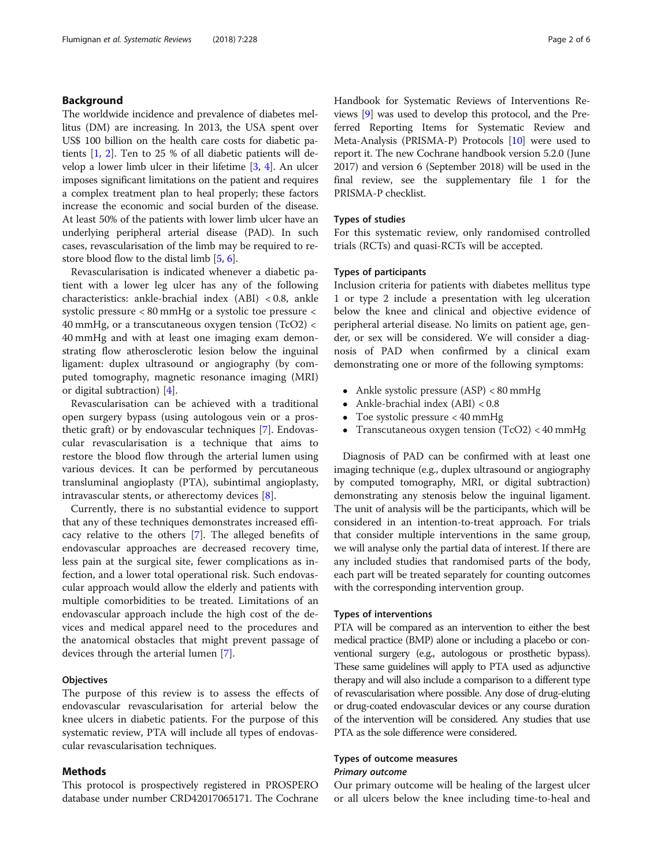# Background

The worldwide incidence and prevalence of diabetes mellitus (DM) are increasing. In 2013, the USA spent over US\$ 100 billion on the health care costs for diabetic patients [[1](#page-5-0), [2\]](#page-5-0). Ten to 25 % of all diabetic patients will develop a lower limb ulcer in their lifetime [[3,](#page-5-0) [4\]](#page-5-0). An ulcer imposes significant limitations on the patient and requires a complex treatment plan to heal properly; these factors increase the economic and social burden of the disease. At least 50% of the patients with lower limb ulcer have an underlying peripheral arterial disease (PAD). In such cases, revascularisation of the limb may be required to restore blood flow to the distal limb [[5](#page-5-0), [6\]](#page-5-0).

Revascularisation is indicated whenever a diabetic patient with a lower leg ulcer has any of the following characteristics: ankle-brachial index (ABI) < 0.8, ankle systolic pressure < 80 mmHg or a systolic toe pressure < 40 mmHg, or a transcutaneous oxygen tension (TcO2) < 40 mmHg and with at least one imaging exam demonstrating flow atherosclerotic lesion below the inguinal ligament: duplex ultrasound or angiography (by computed tomography, magnetic resonance imaging (MRI) or digital subtraction) [[4\]](#page-5-0).

Revascularisation can be achieved with a traditional open surgery bypass (using autologous vein or a prosthetic graft) or by endovascular techniques [\[7](#page-5-0)]. Endovascular revascularisation is a technique that aims to restore the blood flow through the arterial lumen using various devices. It can be performed by percutaneous transluminal angioplasty (PTA), subintimal angioplasty, intravascular stents, or atherectomy devices [[8\]](#page-5-0).

Currently, there is no substantial evidence to support that any of these techniques demonstrates increased efficacy relative to the others [\[7](#page-5-0)]. The alleged benefits of endovascular approaches are decreased recovery time, less pain at the surgical site, fewer complications as infection, and a lower total operational risk. Such endovascular approach would allow the elderly and patients with multiple comorbidities to be treated. Limitations of an endovascular approach include the high cost of the devices and medical apparel need to the procedures and the anatomical obstacles that might prevent passage of devices through the arterial lumen [\[7](#page-5-0)].

# **Objectives**

The purpose of this review is to assess the effects of endovascular revascularisation for arterial below the knee ulcers in diabetic patients. For the purpose of this systematic review, PTA will include all types of endovascular revascularisation techniques.

# Methods

This protocol is prospectively registered in PROSPERO database under number CRD42017065171. The Cochrane Handbook for Systematic Reviews of Interventions Reviews [[9\]](#page-5-0) was used to develop this protocol, and the Preferred Reporting Items for Systematic Review and Meta-Analysis (PRISMA-P) Protocols [[10\]](#page-5-0) were used to report it. The new Cochrane handbook version 5.2.0 (June 2017) and version 6 (September 2018) will be used in the final review, see the supplementary file 1 for the PRISMA-P checklist.

# Types of studies

For this systematic review, only randomised controlled trials (RCTs) and quasi-RCTs will be accepted.

# Types of participants

Inclusion criteria for patients with diabetes mellitus type 1 or type 2 include a presentation with leg ulceration below the knee and clinical and objective evidence of peripheral arterial disease. No limits on patient age, gender, or sex will be considered. We will consider a diagnosis of PAD when confirmed by a clinical exam demonstrating one or more of the following symptoms:

- Ankle systolic pressure (ASP) < 80 mmHg
- Ankle-brachial index (ABI) <  $0.8$
- Toe systolic pressure  $<$  40 mmHg
- Transcutaneous oxygen tension  $(TcO2) < 40$  mmHg

Diagnosis of PAD can be confirmed with at least one imaging technique (e.g., duplex ultrasound or angiography by computed tomography, MRI, or digital subtraction) demonstrating any stenosis below the inguinal ligament. The unit of analysis will be the participants, which will be considered in an intention-to-treat approach. For trials that consider multiple interventions in the same group, we will analyse only the partial data of interest. If there are any included studies that randomised parts of the body, each part will be treated separately for counting outcomes with the corresponding intervention group.

# Types of interventions

PTA will be compared as an intervention to either the best medical practice (BMP) alone or including a placebo or conventional surgery (e.g., autologous or prosthetic bypass). These same guidelines will apply to PTA used as adjunctive therapy and will also include a comparison to a different type of revascularisation where possible. Any dose of drug-eluting or drug-coated endovascular devices or any course duration of the intervention will be considered. Any studies that use PTA as the sole difference were considered.

# Types of outcome measures Primary outcome

Our primary outcome will be healing of the largest ulcer or all ulcers below the knee including time-to-heal and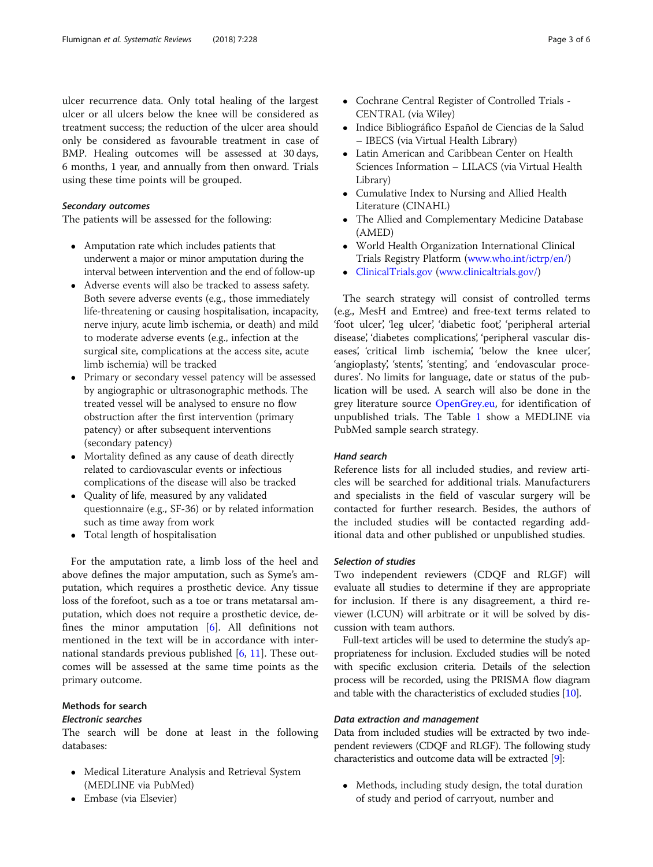ulcer recurrence data. Only total healing of the largest ulcer or all ulcers below the knee will be considered as treatment success; the reduction of the ulcer area should only be considered as favourable treatment in case of BMP. Healing outcomes will be assessed at 30 days, 6 months, 1 year, and annually from then onward. Trials using these time points will be grouped.

# Secondary outcomes

The patients will be assessed for the following:

- Amputation rate which includes patients that underwent a major or minor amputation during the interval between intervention and the end of follow-up
- Adverse events will also be tracked to assess safety. Both severe adverse events (e.g., those immediately life-threatening or causing hospitalisation, incapacity, nerve injury, acute limb ischemia, or death) and mild to moderate adverse events (e.g., infection at the surgical site, complications at the access site, acute limb ischemia) will be tracked
- Primary or secondary vessel patency will be assessed by angiographic or ultrasonographic methods. The treated vessel will be analysed to ensure no flow obstruction after the first intervention (primary patency) or after subsequent interventions (secondary patency)
- Mortality defined as any cause of death directly related to cardiovascular events or infectious complications of the disease will also be tracked
- Quality of life, measured by any validated questionnaire (e.g., SF-36) or by related information such as time away from work
- Total length of hospitalisation

For the amputation rate, a limb loss of the heel and above defines the major amputation, such as Syme's amputation, which requires a prosthetic device. Any tissue loss of the forefoot, such as a toe or trans metatarsal amputation, which does not require a prosthetic device, defines the minor amputation  $[6]$  $[6]$ . All definitions not mentioned in the text will be in accordance with international standards previous published [\[6,](#page-5-0) [11\]](#page-5-0). These outcomes will be assessed at the same time points as the primary outcome.

# Methods for search

# Electronic searches

The search will be done at least in the following databases:

- Medical Literature Analysis and Retrieval System (MEDLINE via PubMed)
- Embase (via Elsevier)
- Cochrane Central Register of Controlled Trials CENTRAL (via Wiley)
- Indice Bibliográfico Español de Ciencias de la Salud – IBECS (via Virtual Health Library)
- Latin American and Caribbean Center on Health Sciences Information – LILACS (via Virtual Health Library)
- Cumulative Index to Nursing and Allied Health Literature (CINAHL)
- The Allied and Complementary Medicine Database (AMED)
- World Health Organization International Clinical Trials Registry Platform ([www.who.int/ictrp/en/](http://www.who.int/ictrp/en/))
- [ClinicalTrials.gov](http://clinicaltrials.gov) ([www.clinicaltrials.gov/](http://www.clinicaltrials.gov/))

The search strategy will consist of controlled terms (e.g., MesH and Emtree) and free-text terms related to 'foot ulcer', 'leg ulcer', 'diabetic foot', 'peripheral arterial disease', 'diabetes complications', 'peripheral vascular diseases', 'critical limb ischemia', 'below the knee ulcer', 'angioplasty', 'stents', 'stenting', and 'endovascular procedures'. No limits for language, date or status of the publication will be used. A search will also be done in the grey literature source [OpenGrey.eu,](http://opengrey.eu/) for identification of unpublished trials. The Table [1](#page-3-0) show a MEDLINE via PubMed sample search strategy.

# Hand search

Reference lists for all included studies, and review articles will be searched for additional trials. Manufacturers and specialists in the field of vascular surgery will be contacted for further research. Besides, the authors of the included studies will be contacted regarding additional data and other published or unpublished studies.

# Selection of studies

Two independent reviewers (CDQF and RLGF) will evaluate all studies to determine if they are appropriate for inclusion. If there is any disagreement, a third reviewer (LCUN) will arbitrate or it will be solved by discussion with team authors.

Full-text articles will be used to determine the study's appropriateness for inclusion. Excluded studies will be noted with specific exclusion criteria. Details of the selection process will be recorded, using the PRISMA flow diagram and table with the characteristics of excluded studies [\[10](#page-5-0)].

# Data extraction and management

Data from included studies will be extracted by two independent reviewers (CDQF and RLGF). The following study characteristics and outcome data will be extracted [[9](#page-5-0)]:

• Methods, including study design, the total duration of study and period of carryout, number and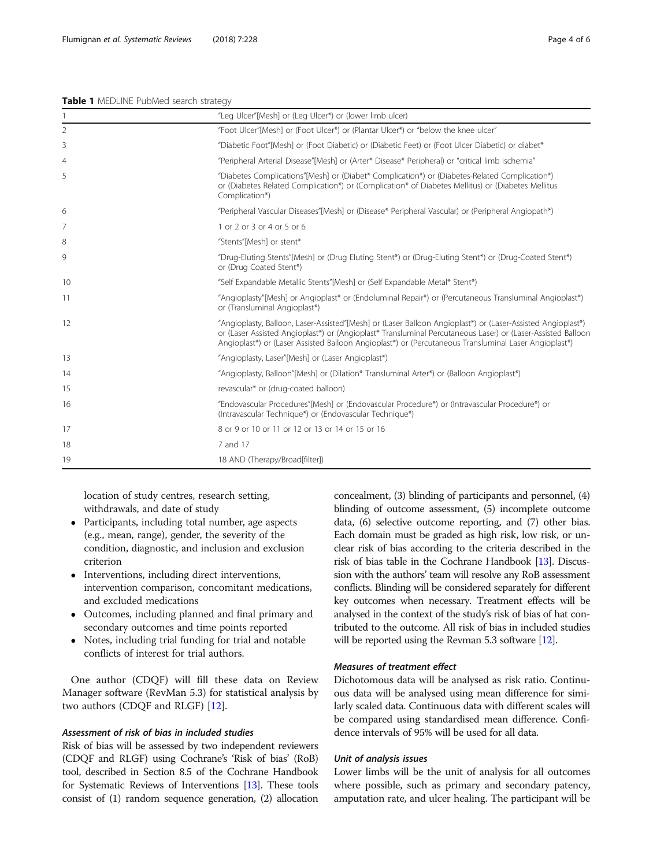#### <span id="page-3-0"></span>Table 1 MEDLINE PubMed search strategy

|                | "Leg Ulcer"[Mesh] or (Leg Ulcer*) or (lower limb ulcer)                                                                                                                                                                                                                                                                             |
|----------------|-------------------------------------------------------------------------------------------------------------------------------------------------------------------------------------------------------------------------------------------------------------------------------------------------------------------------------------|
| $\overline{2}$ | "Foot Ulcer"[Mesh] or (Foot Ulcer*) or (Plantar Ulcer*) or "below the knee ulcer"                                                                                                                                                                                                                                                   |
| 3              | "Diabetic Foot"[Mesh] or (Foot Diabetic) or (Diabetic Feet) or (Foot Ulcer Diabetic) or diabet*                                                                                                                                                                                                                                     |
| $\overline{4}$ | "Peripheral Arterial Disease"[Mesh] or (Arter* Disease* Peripheral) or "critical limb ischemia"                                                                                                                                                                                                                                     |
| 5              | "Diabetes Complications"[Mesh] or (Diabet* Complication*) or (Diabetes-Related Complication*)<br>or (Diabetes Related Complication*) or (Complication* of Diabetes Mellitus) or (Diabetes Mellitus<br>Complication*)                                                                                                                |
| 6              | "Peripheral Vascular Diseases"[Mesh] or (Disease* Peripheral Vascular) or (Peripheral Angiopath*)                                                                                                                                                                                                                                   |
| 7              | 1 or 2 or 3 or 4 or 5 or 6                                                                                                                                                                                                                                                                                                          |
| 8              | "Stents"[Mesh] or stent*                                                                                                                                                                                                                                                                                                            |
| 9              | "Drug-Eluting Stents"[Mesh] or (Drug Eluting Stent*) or (Drug-Eluting Stent*) or (Drug-Coated Stent*)<br>or (Drug Coated Stent*)                                                                                                                                                                                                    |
| 10             | "Self Expandable Metallic Stents"[Mesh] or (Self Expandable Metal* Stent*)                                                                                                                                                                                                                                                          |
| 11             | "Angioplasty"[Mesh] or Angioplast* or (Endoluminal Repair*) or (Percutaneous Transluminal Angioplast*)<br>or (Transluminal Angioplast*)                                                                                                                                                                                             |
| 12             | "Angioplasty, Balloon, Laser-Assisted"[Mesh] or (Laser Balloon Angioplast*) or (Laser-Assisted Angioplast*)<br>or (Laser Assisted Angioplast*) or (Angioplast* Transluminal Percutaneous Laser) or (Laser-Assisted Balloon<br>Angioplast*) or (Laser Assisted Balloon Angioplast*) or (Percutaneous Transluminal Laser Angioplast*) |
| 13             | "Angioplasty, Laser"[Mesh] or (Laser Angioplast*)                                                                                                                                                                                                                                                                                   |
| 14             | "Angioplasty, Balloon"[Mesh] or (Dilation* Transluminal Arter*) or (Balloon Angioplast*)                                                                                                                                                                                                                                            |
| 15             | revascular* or (drug-coated balloon)                                                                                                                                                                                                                                                                                                |
| 16             | "Endovascular Procedures"[Mesh] or (Endovascular Procedure*) or (Intravascular Procedure*) or<br>(Intravascular Technique*) or (Endovascular Technique*)                                                                                                                                                                            |
| 17             | 8 or 9 or 10 or 11 or 12 or 13 or 14 or 15 or 16                                                                                                                                                                                                                                                                                    |
| 18             | 7 and 17                                                                                                                                                                                                                                                                                                                            |
| 19             | 18 AND (Therapy/Broad[filter])                                                                                                                                                                                                                                                                                                      |

location of study centres, research setting, withdrawals, and date of study

- Participants, including total number, age aspects (e.g., mean, range), gender, the severity of the condition, diagnostic, and inclusion and exclusion criterion
- Interventions, including direct interventions, intervention comparison, concomitant medications, and excluded medications
- Outcomes, including planned and final primary and secondary outcomes and time points reported
- Notes, including trial funding for trial and notable conflicts of interest for trial authors.

One author (CDQF) will fill these data on Review Manager software (RevMan 5.3) for statistical analysis by two authors (CDQF and RLGF) [\[12](#page-5-0)].

#### Assessment of risk of bias in included studies

Risk of bias will be assessed by two independent reviewers (CDQF and RLGF) using Cochrane's 'Risk of bias' (RoB) tool, described in Section 8.5 of the Cochrane Handbook for Systematic Reviews of Interventions [\[13\]](#page-5-0). These tools consist of (1) random sequence generation, (2) allocation

concealment, (3) blinding of participants and personnel, (4) blinding of outcome assessment, (5) incomplete outcome data, (6) selective outcome reporting, and (7) other bias. Each domain must be graded as high risk, low risk, or unclear risk of bias according to the criteria described in the risk of bias table in the Cochrane Handbook [\[13\]](#page-5-0). Discussion with the authors' team will resolve any RoB assessment conflicts. Blinding will be considered separately for different key outcomes when necessary. Treatment effects will be analysed in the context of the study's risk of bias of hat contributed to the outcome. All risk of bias in included studies will be reported using the Revman 5.3 software [\[12\]](#page-5-0).

# Measures of treatment effect

Dichotomous data will be analysed as risk ratio. Continuous data will be analysed using mean difference for similarly scaled data. Continuous data with different scales will be compared using standardised mean difference. Confidence intervals of 95% will be used for all data.

# Unit of analysis issues

Lower limbs will be the unit of analysis for all outcomes where possible, such as primary and secondary patency, amputation rate, and ulcer healing. The participant will be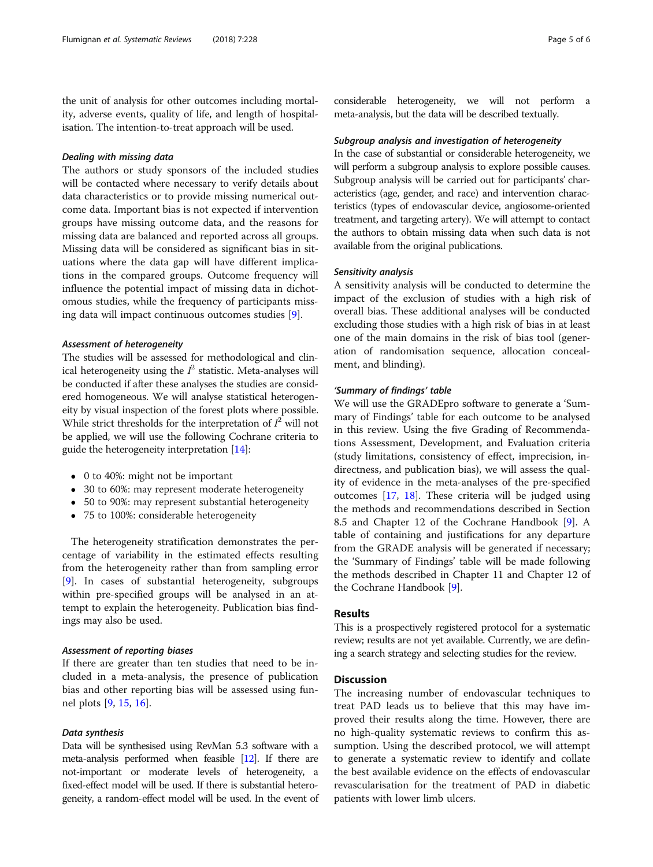the unit of analysis for other outcomes including mortality, adverse events, quality of life, and length of hospitalisation. The intention-to-treat approach will be used.

#### Dealing with missing data

The authors or study sponsors of the included studies will be contacted where necessary to verify details about data characteristics or to provide missing numerical outcome data. Important bias is not expected if intervention groups have missing outcome data, and the reasons for missing data are balanced and reported across all groups. Missing data will be considered as significant bias in situations where the data gap will have different implications in the compared groups. Outcome frequency will influence the potential impact of missing data in dichotomous studies, while the frequency of participants missing data will impact continuous outcomes studies [\[9\]](#page-5-0).

### Assessment of heterogeneity

The studies will be assessed for methodological and clinical heterogeneity using the  $I^2$  statistic. Meta-analyses will be conducted if after these analyses the studies are considered homogeneous. We will analyse statistical heterogeneity by visual inspection of the forest plots where possible. While strict thresholds for the interpretation of  $I^2$  will not be applied, we will use the following Cochrane criteria to guide the heterogeneity interpretation [[14](#page-5-0)]:

- 0 to 40%: might not be important
- 30 to 60%: may represent moderate heterogeneity
- 50 to 90%: may represent substantial heterogeneity
- 75 to 100%: considerable heterogeneity

The heterogeneity stratification demonstrates the percentage of variability in the estimated effects resulting from the heterogeneity rather than from sampling error [[9\]](#page-5-0). In cases of substantial heterogeneity, subgroups within pre-specified groups will be analysed in an attempt to explain the heterogeneity. Publication bias findings may also be used.

# Assessment of reporting biases

If there are greater than ten studies that need to be included in a meta-analysis, the presence of publication bias and other reporting bias will be assessed using funnel plots [\[9,](#page-5-0) [15,](#page-5-0) [16\]](#page-5-0).

#### Data synthesis

Data will be synthesised using RevMan 5.3 software with a meta-analysis performed when feasible [\[12\]](#page-5-0). If there are not-important or moderate levels of heterogeneity, a fixed-effect model will be used. If there is substantial heterogeneity, a random-effect model will be used. In the event of considerable heterogeneity, we will not perform a meta-analysis, but the data will be described textually.

#### Subgroup analysis and investigation of heterogeneity

In the case of substantial or considerable heterogeneity, we will perform a subgroup analysis to explore possible causes. Subgroup analysis will be carried out for participants' characteristics (age, gender, and race) and intervention characteristics (types of endovascular device, angiosome-oriented treatment, and targeting artery). We will attempt to contact the authors to obtain missing data when such data is not available from the original publications.

# Sensitivity analysis

A sensitivity analysis will be conducted to determine the impact of the exclusion of studies with a high risk of overall bias. These additional analyses will be conducted excluding those studies with a high risk of bias in at least one of the main domains in the risk of bias tool (generation of randomisation sequence, allocation concealment, and blinding).

#### 'Summary of findings' table

We will use the GRADEpro software to generate a 'Summary of Findings' table for each outcome to be analysed in this review. Using the five Grading of Recommendations Assessment, Development, and Evaluation criteria (study limitations, consistency of effect, imprecision, indirectness, and publication bias), we will assess the quality of evidence in the meta-analyses of the pre-specified outcomes [\[17,](#page-5-0) [18\]](#page-5-0). These criteria will be judged using the methods and recommendations described in Section 8.5 and Chapter 12 of the Cochrane Handbook [[9\]](#page-5-0). A table of containing and justifications for any departure from the GRADE analysis will be generated if necessary; the 'Summary of Findings' table will be made following the methods described in Chapter 11 and Chapter 12 of the Cochrane Handbook [[9\]](#page-5-0).

# Results

This is a prospectively registered protocol for a systematic review; results are not yet available. Currently, we are defining a search strategy and selecting studies for the review.

# **Discussion**

The increasing number of endovascular techniques to treat PAD leads us to believe that this may have improved their results along the time. However, there are no high-quality systematic reviews to confirm this assumption. Using the described protocol, we will attempt to generate a systematic review to identify and collate the best available evidence on the effects of endovascular revascularisation for the treatment of PAD in diabetic patients with lower limb ulcers.